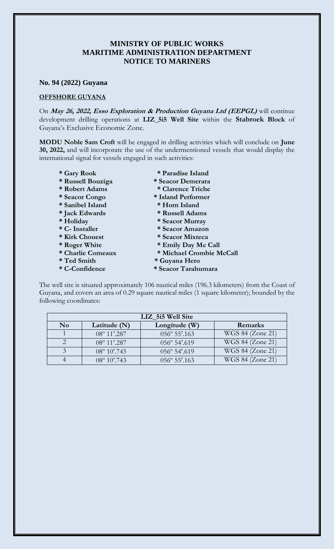## **MINISTRY OF PUBLIC WORKS MARITIME ADMINISTRATION DEPARTMENT NOTICE TO MARINERS**

## **No. 94 (2022) Guyana**

## **OFFSHORE GUYANA**

On **May 26, 2022, Esso Exploration & Production Guyana Ltd (EEPGL)** will continue development drilling operations at **LIZ\_5i5 Well Site** within the **Stabroek Block** of Guyana's Exclusive Economic Zone.

**MODU Noble Sam Croft** will be engaged in drilling activities which will conclude on **June 30, 2022,** and will incorporate the use of the undermentioned vessels that would display the international signal for vessels engaged in such activities:

- **\* Gary Rook \* Paradise Island \* Russell Bouziga \* Seacor Demerara \* Robert Adams \* Clarence Triche \* Seacor Congo \* Island Performer \* Sanibel Island \* Horn Island \* Jack Edwards \* Russell Adams \* Holiday \* Seacor Murray \* C- Installer \* Seacor Amazon \* Kirk Chouest \* Seacor Mixteca \* Roger White \* Emily Day Mc Call \* Charlie Comeaux \* Michael Crombie McCall \* Ted Smith \* Guyana Hero** 
	- **\* C-Confidence \* Seacor Tarahumara**

The well site is situated approximately 106 nautical miles (196.3 kilometers) from the Coast of Guyana, and covers an area of 0.29 square nautical miles (1 square kilometer); bounded by the following coordinates:

| LIZ 515 Well Site |                       |                         |                  |
|-------------------|-----------------------|-------------------------|------------------|
| N <sub>0</sub>    | Latitude (N)          | Longitude (W)           | Remarks          |
|                   | $08^{\circ}$ 11'.287  | 056° 55'.163            | WGS 84 (Zone 21) |
|                   | $08^{\circ}$ 11'.287  | $056^{\circ} 54'$ .619  | WGS 84 (Zone 21) |
|                   | $08^{\circ} 10'$ .743 | 056° 54'.619            | WGS 84 (Zone 21) |
|                   | $08^{\circ} 10'$ .743 | $0.56^{\circ} 55'$ .163 | WGS 84 (Zone 21) |